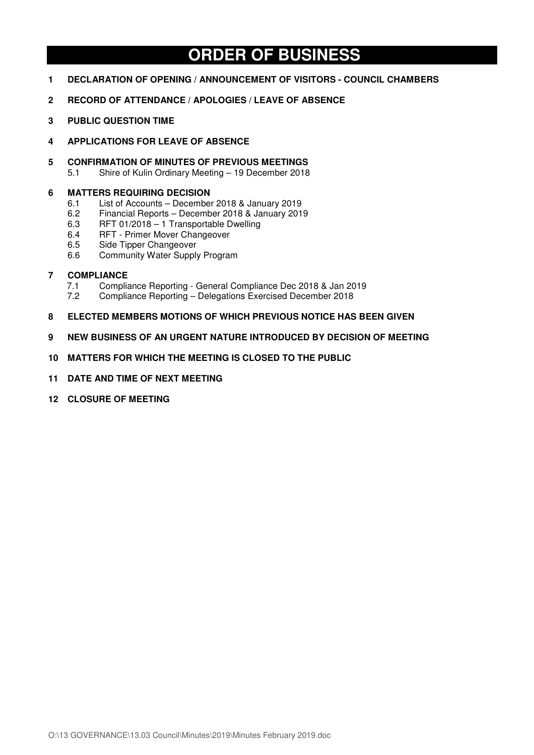# **ORDER OF BUSINESS**

- **1 DECLARATION OF OPENING / ANNOUNCEMENT OF VISITORS COUNCIL CHAMBERS**
- **2 RECORD OF ATTENDANCE / APOLOGIES / LEAVE OF ABSENCE**
- **3 PUBLIC QUESTION TIME**
- **4 APPLICATIONS FOR LEAVE OF ABSENCE**
- **5 CONFIRMATION OF MINUTES OF PREVIOUS MEETINGS**<br>5.1 Shire of Kulin Ordinary Meeting 19 December 2018
	- 5.1 Shire of Kulin Ordinary Meeting 19 December 2018

### **6 MATTERS REQUIRING DECISION**

- 6.1 List of Accounts December 2018 & January 2019
- 6.2 Financial Reports December 2018 & January 2019
- 6.3 RFT 01/2018 1 Transportable Dwelling
- 6.4 RFT Primer Mover Changeover
- 6.5 Side Tipper Changeover
- 6.6 Community Water Supply Program

### **7 COMPLIANCE**

- 7.1 Compliance Reporting General Compliance Dec 2018 & Jan 2019<br>7.2 Compliance Reporting Delegations Exercised December 2018
- 7.2 Compliance Reporting Delegations Exercised December 2018
- **8 ELECTED MEMBERS MOTIONS OF WHICH PREVIOUS NOTICE HAS BEEN GIVEN**
- **9 NEW BUSINESS OF AN URGENT NATURE INTRODUCED BY DECISION OF MEETING**
- **10 MATTERS FOR WHICH THE MEETING IS CLOSED TO THE PUBLIC**
- **11 DATE AND TIME OF NEXT MEETING**
- **12 CLOSURE OF MEETING**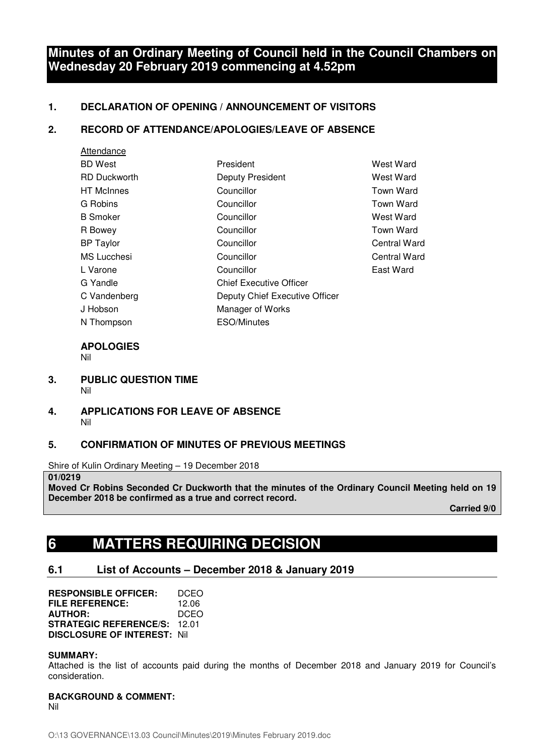## **Minutes of an Ordinary Meeting of Council held in the Council Chambers on Wednesday 20 February 2019 commencing at 4.52pm**

## **1. DECLARATION OF OPENING / ANNOUNCEMENT OF VISITORS**

## **2. RECORD OF ATTENDANCE/APOLOGIES/LEAVE OF ABSENCE**

| Attendance          |                                |                     |
|---------------------|--------------------------------|---------------------|
| <b>BD</b> West      | President                      | West Ward           |
| <b>RD Duckworth</b> | Deputy President               | West Ward           |
| <b>HT</b> McInnes   | Councillor                     | Town Ward           |
| G Robins            | Councillor                     | Town Ward           |
| <b>B</b> Smoker     | Councillor                     | West Ward           |
| R Bowey             | Councillor                     | Town Ward           |
| <b>BP</b> Taylor    | Councillor                     | Central Ward        |
| <b>MS Lucchesi</b>  | Councillor                     | <b>Central Ward</b> |
| L Varone            | Councillor                     | East Ward           |
| G Yandle            | <b>Chief Executive Officer</b> |                     |
| C Vandenberg        | Deputy Chief Executive Officer |                     |
| J Hobson            | Manager of Works               |                     |
| N Thompson          | <b>ESO/Minutes</b>             |                     |

#### **APOLOGIES**  Nil

- **3. PUBLIC QUESTION TIME**  Nil
- **4. APPLICATIONS FOR LEAVE OF ABSENCE**  Nil

## **5. CONFIRMATION OF MINUTES OF PREVIOUS MEETINGS**

Shire of Kulin Ordinary Meeting – 19 December 2018

**01/0219** 

**Moved Cr Robins Seconded Cr Duckworth that the minutes of the Ordinary Council Meeting held on 19 December 2018 be confirmed as a true and correct record.** 

 **Carried 9/0** 

## **6 MATTERS REQUIRING DECISION**

## **6.1 List of Accounts – December 2018 & January 2019**

| <b>RESPONSIBLE OFFICER:</b>         | DCEO  |
|-------------------------------------|-------|
| <b>FILE REFERENCE:</b>              | 12.06 |
| <b>AUTHOR:</b>                      | DCEO  |
| <b>STRATEGIC REFERENCE/S:</b>       | 12 O1 |
| <b>DISCLOSURE OF INTEREST: Nill</b> |       |

#### **SUMMARY:**

Attached is the list of accounts paid during the months of December 2018 and January 2019 for Council's consideration.

**BACKGROUND & COMMENT:**  Nil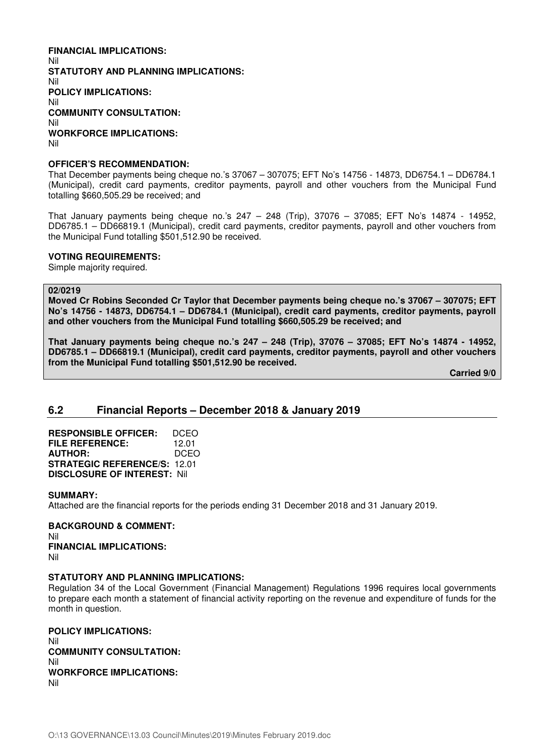#### **FINANCIAL IMPLICATIONS:**  Nil **STATUTORY AND PLANNING IMPLICATIONS:**  Nil **POLICY IMPLICATIONS:**  Nil **COMMUNITY CONSULTATION:**  Nil **WORKFORCE IMPLICATIONS:**  Nil

#### **OFFICER'S RECOMMENDATION:**

That December payments being cheque no.'s 37067 – 307075; EFT No's 14756 - 14873, DD6754.1 – DD6784.1 (Municipal), credit card payments, creditor payments, payroll and other vouchers from the Municipal Fund totalling \$660,505.29 be received; and

That January payments being cheque no.'s 247 – 248 (Trip), 37076 – 37085; EFT No's 14874 - 14952, DD6785.1 – DD66819.1 (Municipal), credit card payments, creditor payments, payroll and other vouchers from the Municipal Fund totalling \$501,512.90 be received.

#### **VOTING REQUIREMENTS:**

Simple majority required.

### **02/0219**

**Moved Cr Robins Seconded Cr Taylor that December payments being cheque no.'s 37067 – 307075; EFT No's 14756 - 14873, DD6754.1 – DD6784.1 (Municipal), credit card payments, creditor payments, payroll and other vouchers from the Municipal Fund totalling \$660,505.29 be received; and** 

**That January payments being cheque no.'s 247 – 248 (Trip), 37076 – 37085; EFT No's 14874 - 14952, DD6785.1 – DD66819.1 (Municipal), credit card payments, creditor payments, payroll and other vouchers from the Municipal Fund totalling \$501,512.90 be received.** 

 **Carried 9/0** 

## **6.2 Financial Reports – December 2018 & January 2019**

**RESPONSIBLE OFFICER:** DCEO **FILE REFERENCE:** 12.01 **AUTHOR:** DCEO **STRATEGIC REFERENCE/S:** 12.01 **DISCLOSURE OF INTEREST:** Nil

#### **SUMMARY:**

Attached are the financial reports for the periods ending 31 December 2018 and 31 January 2019.

#### **BACKGROUND & COMMENT:**  Nil **FINANCIAL IMPLICATIONS:**  Nil

#### **STATUTORY AND PLANNING IMPLICATIONS:**

Regulation 34 of the Local Government (Financial Management) Regulations 1996 requires local governments to prepare each month a statement of financial activity reporting on the revenue and expenditure of funds for the month in question.

**POLICY IMPLICATIONS:**  Nil **COMMUNITY CONSULTATION:**  Nil **WORKFORCE IMPLICATIONS:**  Nil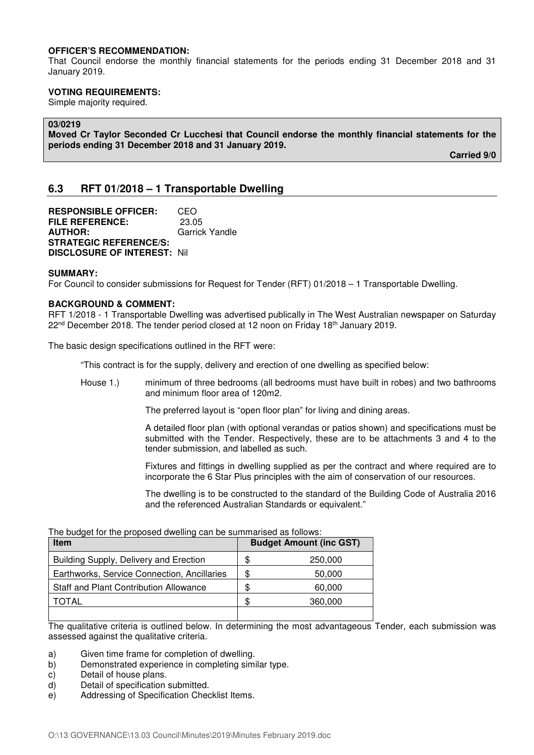### **OFFICER'S RECOMMENDATION:**

That Council endorse the monthly financial statements for the periods ending 31 December 2018 and 31 January 2019.

#### **VOTING REQUIREMENTS:**

Simple majority required.

#### **03/0219**

**Moved Cr Taylor Seconded Cr Lucchesi that Council endorse the monthly financial statements for the periods ending 31 December 2018 and 31 January 2019.** 

**Carried 9/0** 

## **6.3 RFT 01/2018 – 1 Transportable Dwelling**

**RESPONSIBLE OFFICER:** CEO **FILE REFERENCE:** 23.05 **AUTHOR:** Garrick Yandle **STRATEGIC REFERENCE/S: DISCLOSURE OF INTEREST:** Nil

### **SUMMARY:**

For Council to consider submissions for Request for Tender (RFT) 01/2018 – 1 Transportable Dwelling.

#### **BACKGROUND & COMMENT:**

RFT 1/2018 - 1 Transportable Dwelling was advertised publically in The West Australian newspaper on Saturday 22nd December 2018. The tender period closed at 12 noon on Friday 18th January 2019.

The basic design specifications outlined in the RFT were:

"This contract is for the supply, delivery and erection of one dwelling as specified below:

House 1.) minimum of three bedrooms (all bedrooms must have built in robes) and two bathrooms and minimum floor area of 120m2.

The preferred layout is "open floor plan" for living and dining areas.

A detailed floor plan (with optional verandas or patios shown) and specifications must be submitted with the Tender. Respectively, these are to be attachments 3 and 4 to the tender submission, and labelled as such.

 Fixtures and fittings in dwelling supplied as per the contract and where required are to incorporate the 6 Star Plus principles with the aim of conservation of our resources.

The dwelling is to be constructed to the standard of the Building Code of Australia 2016 and the referenced Australian Standards or equivalent."

The budget for the proposed dwelling can be summarised as follows:

| <b>Item</b>                                   | <b>Budget Amount (inc GST)</b> |
|-----------------------------------------------|--------------------------------|
| Building Supply, Delivery and Erection        | 250,000                        |
| Earthworks, Service Connection, Ancillaries   | 50,000                         |
| <b>Staff and Plant Contribution Allowance</b> | 60,000                         |
| TOTAL                                         | 360,000                        |
|                                               |                                |

The qualitative criteria is outlined below. In determining the most advantageous Tender, each submission was assessed against the qualitative criteria.

- a) Given time frame for completion of dwelling.
- b) Demonstrated experience in completing similar type.
- c) Detail of house plans.
- d) Detail of specification submitted.
- e) Addressing of Specification Checklist Items.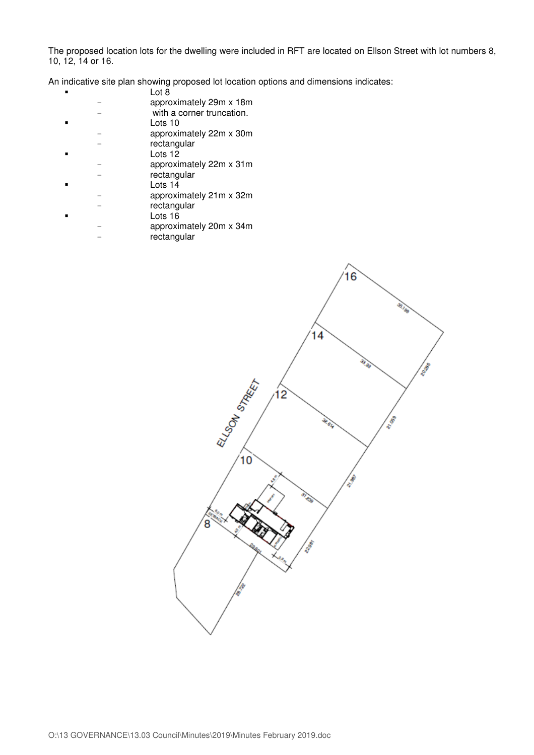The proposed location lots for the dwelling were included in RFT are located on Ellson Street with lot numbers 8, 10, 12, 14 or 16.

An indicative site plan showing proposed lot location options and dimensions indicates:

- $\blacksquare$ 
	- approximately 29m x 18m
	- with a corner truncation.
- Lots 10
- approximately 22m x 30m
- rectangular
- Lots 12
- approximately 22m x 31m
- rectangular
- Lots 14
- approximately 21m x 32m
- rectangular
- Lots 16
	- approximately 20m x 34m
	- rectangular

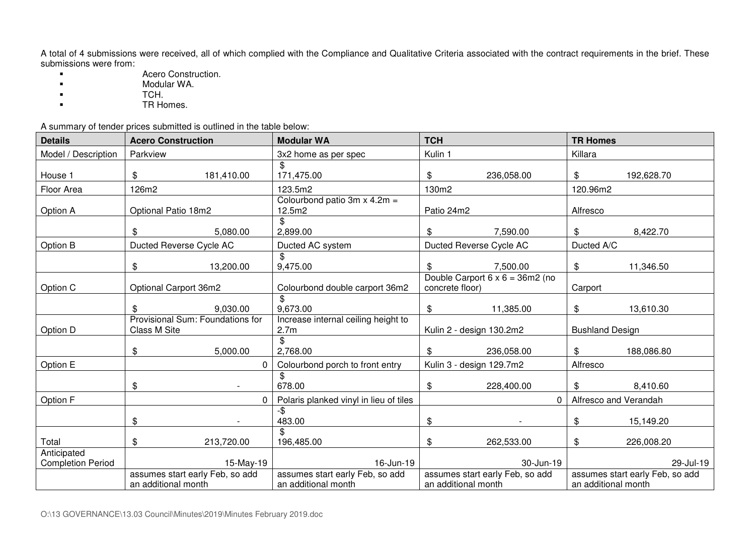A total of 4 submissions were received, all of which complied with the Compliance and Qualitative Criteria associated with the contract requirements in the brief. These submissions were from:

- **Acero Construction.**
- Modular WA.
- **COLLECT CH.**
- **TR Homes.**

A summary of tender prices submitted is outlined in the table below:

| <b>Details</b>                          | <b>Acero Construction</b>                              | <b>Modular WA</b>                                                   | <b>TCH</b>                                                 | <b>TR Homes</b>                                        |
|-----------------------------------------|--------------------------------------------------------|---------------------------------------------------------------------|------------------------------------------------------------|--------------------------------------------------------|
| Model / Description                     | Parkview                                               | 3x2 home as per spec                                                | Kulin 1                                                    | Killara                                                |
| House 1                                 | \$<br>181,410.00                                       | 171,475.00                                                          | \$<br>236,058.00                                           | \$<br>192,628.70                                       |
| Floor Area                              | 126m2                                                  | 123.5m2                                                             | 130m2                                                      | 120.96m2                                               |
| Option A                                | Optional Patio 18m2                                    | Colourbond patio $3\overline{m} \times 4.2\overline{m} =$<br>12.5m2 | Patio 24m2                                                 | Alfresco                                               |
|                                         | \$<br>5,080.00                                         | \$<br>2,899.00                                                      | \$<br>7,590.00                                             | $\frac{1}{2}$<br>8,422.70                              |
| Option B                                | Ducted Reverse Cycle AC                                | Ducted AC system                                                    | Ducted Reverse Cycle AC                                    | Ducted A/C                                             |
|                                         | \$<br>13,200.00                                        | \$<br>9,475.00                                                      | \$<br>7,500.00                                             | \$<br>11,346.50                                        |
| Option C                                | Optional Carport 36m2                                  | Colourbond double carport 36m2                                      | Double Carport $6 \times 6 = 36$ m2 (no<br>concrete floor) | Carport                                                |
|                                         | \$<br>9,030.00                                         | \$<br>9,673.00                                                      | \$<br>11,385.00                                            | \$<br>13,610.30                                        |
| Option D                                | Provisional Sum: Foundations for<br>Class M Site       | Increase internal ceiling height to<br>2.7 <sub>m</sub>             | Kulin 2 - design 130.2m2                                   | <b>Bushland Design</b>                                 |
|                                         | \$<br>5,000.00                                         | $\boldsymbol{\$}$<br>2,768.00                                       | \$<br>236,058.00                                           | \$<br>188,086.80                                       |
| Option E                                | 0                                                      | Colourbond porch to front entry                                     | Kulin 3 - design 129.7m2                                   | Alfresco                                               |
|                                         | \$                                                     | 678.00                                                              | \$<br>228,400.00                                           | \$<br>8,410.60                                         |
| Option F                                | $\Omega$                                               | Polaris planked vinyl in lieu of tiles                              | 0                                                          | Alfresco and Verandah                                  |
|                                         | \$                                                     | -\$<br>483.00                                                       | \$                                                         | \$<br>15,149.20                                        |
| Total                                   | \$<br>213,720.00                                       | 196,485.00                                                          | \$<br>262,533.00                                           | \$<br>226,008.20                                       |
| Anticipated<br><b>Completion Period</b> | 15-May-19                                              | 16-Jun-19                                                           | 30-Jun-19                                                  | 29-Jul-19                                              |
|                                         | assumes start early Feb, so add<br>an additional month | assumes start early Feb, so add<br>an additional month              | assumes start early Feb, so add<br>an additional month     | assumes start early Feb, so add<br>an additional month |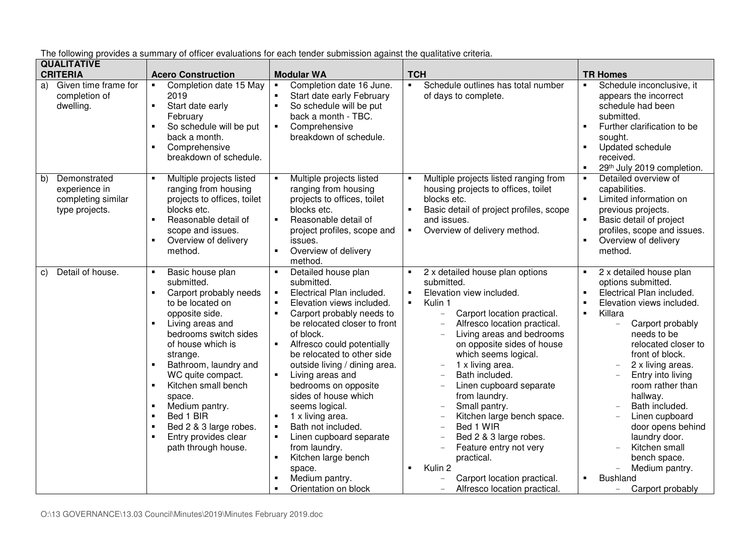| <b>QUALITATIVE</b>                                                          |                                                                                                                                                                                                                                                                                                                                                                                       |                                                                                                                                                                                                                                                                                                                                                                                                                                                                                                                                                                                                                                                                                                                                      |                                                                                                                                                                                                                                                                                                                                                                                                                                                                                                                                                                                                                                                                                                                                                    |                                                                                                                                                                                                                                                                                                                                                                                                                                                                                                                    |
|-----------------------------------------------------------------------------|---------------------------------------------------------------------------------------------------------------------------------------------------------------------------------------------------------------------------------------------------------------------------------------------------------------------------------------------------------------------------------------|--------------------------------------------------------------------------------------------------------------------------------------------------------------------------------------------------------------------------------------------------------------------------------------------------------------------------------------------------------------------------------------------------------------------------------------------------------------------------------------------------------------------------------------------------------------------------------------------------------------------------------------------------------------------------------------------------------------------------------------|----------------------------------------------------------------------------------------------------------------------------------------------------------------------------------------------------------------------------------------------------------------------------------------------------------------------------------------------------------------------------------------------------------------------------------------------------------------------------------------------------------------------------------------------------------------------------------------------------------------------------------------------------------------------------------------------------------------------------------------------------|--------------------------------------------------------------------------------------------------------------------------------------------------------------------------------------------------------------------------------------------------------------------------------------------------------------------------------------------------------------------------------------------------------------------------------------------------------------------------------------------------------------------|
| <b>CRITERIA</b>                                                             | <b>Acero Construction</b>                                                                                                                                                                                                                                                                                                                                                             | <b>Modular WA</b>                                                                                                                                                                                                                                                                                                                                                                                                                                                                                                                                                                                                                                                                                                                    | <b>TCH</b>                                                                                                                                                                                                                                                                                                                                                                                                                                                                                                                                                                                                                                                                                                                                         | <b>TR Homes</b>                                                                                                                                                                                                                                                                                                                                                                                                                                                                                                    |
| a) Given time frame for<br>completion of<br>dwelling.                       | Completion date 15 May<br>$\blacksquare$<br>2019<br>Start date early<br>$\blacksquare$<br>February<br>So schedule will be put<br>back a month.<br>Comprehensive<br>breakdown of schedule.                                                                                                                                                                                             | Completion date 16 June.<br>$\blacksquare$<br>Start date early February<br>$\blacksquare$<br>So schedule will be put<br>$\blacksquare$<br>back a month - TBC.<br>Comprehensive<br>$\blacksquare$<br>breakdown of schedule.                                                                                                                                                                                                                                                                                                                                                                                                                                                                                                           | Schedule outlines has total number<br>$\blacksquare$<br>of days to complete.                                                                                                                                                                                                                                                                                                                                                                                                                                                                                                                                                                                                                                                                       | Schedule inconclusive, it<br>$\blacksquare$<br>appears the incorrect<br>schedule had been<br>submitted.<br>Further clarification to be<br>$\blacksquare$<br>sought.<br>Updated schedule<br>٠<br>received.<br>29th July 2019 completion.<br>$\blacksquare$                                                                                                                                                                                                                                                          |
| Demonstrated<br>b)<br>experience in<br>completing similar<br>type projects. | Multiple projects listed<br>ranging from housing<br>projects to offices, toilet<br>blocks etc.<br>Reasonable detail of<br>$\blacksquare$<br>scope and issues.<br>Overview of delivery<br>method.                                                                                                                                                                                      | Multiple projects listed<br>$\blacksquare$<br>ranging from housing<br>projects to offices, toilet<br>blocks etc.<br>$\blacksquare$<br>Reasonable detail of<br>project profiles, scope and<br>issues.<br>Overview of delivery<br>$\blacksquare$<br>method.                                                                                                                                                                                                                                                                                                                                                                                                                                                                            | Multiple projects listed ranging from<br>housing projects to offices, toilet<br>blocks etc.<br>$\blacksquare$<br>Basic detail of project profiles, scope<br>and issues.<br>Overview of delivery method.<br>$\blacksquare$                                                                                                                                                                                                                                                                                                                                                                                                                                                                                                                          | Detailed overview of<br>$\blacksquare$<br>capabilities.<br>$\blacksquare$<br>Limited information on<br>previous projects.<br>$\blacksquare$<br>Basic detail of project<br>profiles, scope and issues.<br>Overview of delivery<br>method.                                                                                                                                                                                                                                                                           |
| Detail of house.<br>C)                                                      | Basic house plan<br>submitted.<br>Carport probably needs<br>to be located on<br>opposite side.<br>Living areas and<br>bedrooms switch sides<br>of house which is<br>strange.<br>Bathroom, laundry and<br>WC quite compact.<br>Kitchen small bench<br>space.<br>Medium pantry.<br>Bed 1 BIR<br>$\blacksquare$<br>Bed 2 & 3 large robes.<br>Entry provides clear<br>path through house. | Detailed house plan<br>$\blacksquare$<br>submitted.<br>Electrical Plan included.<br>$\blacksquare$<br>Elevation views included.<br>$\blacksquare$<br>Carport probably needs to<br>$\blacksquare$<br>be relocated closer to front<br>of block.<br>Alfresco could potentially<br>$\blacksquare$<br>be relocated to other side<br>outside living / dining area.<br>$\blacksquare$<br>Living areas and<br>bedrooms on opposite<br>sides of house which<br>seems logical.<br>1 x living area.<br>$\blacksquare$<br>Bath not included.<br>$\blacksquare$<br>Linen cupboard separate<br>$\blacksquare$<br>from laundry.<br>Kitchen large bench<br>$\blacksquare$<br>space.<br>Medium pantry.<br>٠<br>Orientation on block<br>$\blacksquare$ | 2 x detailed house plan options<br>submitted.<br>Elevation view included.<br>$\blacksquare$<br>Kulin 1<br>Carport location practical.<br>$\equiv$<br>Alfresco location practical.<br>$\overline{\phantom{a}}$<br>Living areas and bedrooms<br>$\sim$<br>on opposite sides of house<br>which seems logical.<br>1 x living area.<br>Bath included.<br>Linen cupboard separate<br>from laundry.<br>Small pantry.<br>Kitchen large bench space.<br>$\overline{\phantom{a}}$<br>Bed 1 WIR<br>$\overline{\phantom{0}}$<br>Bed 2 & 3 large robes.<br>$\overline{\phantom{0}}$<br>Feature entry not very<br>$\equiv$<br>practical.<br>Kulin 2<br>$\blacksquare$<br>Carport location practical.<br>Alfresco location practical.<br>$\overline{\phantom{m}}$ | 2 x detailed house plan<br>options submitted.<br>Electrical Plan included.<br>$\blacksquare$<br>Elevation views included.<br>Killara<br>$\blacksquare$<br>Carport probably<br>needs to be<br>relocated closer to<br>front of block.<br>2 x living areas.<br>Entry into living<br>room rather than<br>hallway.<br>Bath included.<br>Linen cupboard<br>door opens behind<br>laundry door.<br>Kitchen small<br>bench space.<br>Medium pantry.<br><b>Bushland</b><br>٠<br>Carport probably<br>$\overline{\phantom{0}}$ |

The following provides a summary of officer evaluations for each tender submission against the qualitative criteria.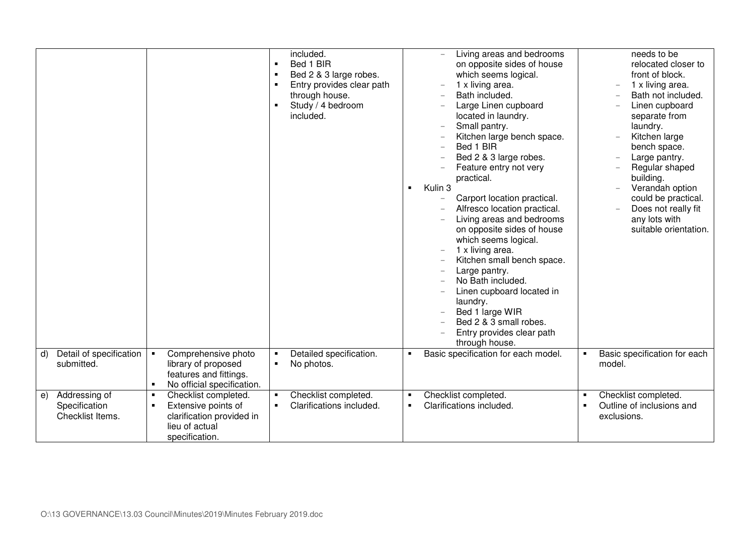|                                                          |                                                                                                                                                  | included.<br>Bed 1 BIR<br>$\blacksquare$<br>Bed 2 & 3 large robes.<br>$\blacksquare$<br>Entry provides clear path<br>п<br>through house.<br>Study / 4 bedroom<br>$\blacksquare$<br>included. | Living areas and bedrooms<br>on opposite sides of house<br>which seems logical.<br>1 x living area.<br>Bath included.<br>Large Linen cupboard<br>located in laundry.<br>Small pantry.<br>Kitchen large bench space.<br>Bed 1 BIR<br>Bed 2 & 3 large robes.<br>Feature entry not very<br>practical.<br>Kulin 3<br>$\blacksquare$<br>Carport location practical.<br>Alfresco location practical.<br>Living areas and bedrooms<br>on opposite sides of house<br>which seems logical.<br>1 x living area.<br>Kitchen small bench space.<br>Large pantry.<br>No Bath included.<br>Linen cupboard located in<br>laundry.<br>Bed 1 large WIR<br>Bed 2 & 3 small robes.<br>Entry provides clear path<br>through house. | needs to be<br>relocated closer to<br>front of block.<br>1 x living area.<br>Bath not included.<br>Linen cupboard<br>separate from<br>laundry.<br>Kitchen large<br>bench space.<br>Large pantry.<br>Regular shaped<br>building.<br>Verandah option<br>could be practical.<br>Does not really fit<br>any lots with<br>suitable orientation. |
|----------------------------------------------------------|--------------------------------------------------------------------------------------------------------------------------------------------------|----------------------------------------------------------------------------------------------------------------------------------------------------------------------------------------------|----------------------------------------------------------------------------------------------------------------------------------------------------------------------------------------------------------------------------------------------------------------------------------------------------------------------------------------------------------------------------------------------------------------------------------------------------------------------------------------------------------------------------------------------------------------------------------------------------------------------------------------------------------------------------------------------------------------|--------------------------------------------------------------------------------------------------------------------------------------------------------------------------------------------------------------------------------------------------------------------------------------------------------------------------------------------|
| Detail of specification<br>$\mathsf{d}$<br>submitted.    | Comprehensive photo<br>$\blacksquare$<br>library of proposed<br>features and fittings.<br>No official specification.<br>$\blacksquare$           | Detailed specification.<br>$\blacksquare$<br>No photos.<br>$\blacksquare$                                                                                                                    | Basic specification for each model.<br>$\blacksquare$                                                                                                                                                                                                                                                                                                                                                                                                                                                                                                                                                                                                                                                          | Basic specification for each<br>$\blacksquare$<br>model.                                                                                                                                                                                                                                                                                   |
| Addressing of<br>e)<br>Specification<br>Checklist Items. | Checklist completed.<br>$\blacksquare$<br>Extensive points of<br>$\blacksquare$<br>clarification provided in<br>lieu of actual<br>specification. | Checklist completed.<br>$\blacksquare$<br>Clarifications included.<br>$\blacksquare$                                                                                                         | Checklist completed.<br>$\blacksquare$<br>Clarifications included.<br>$\blacksquare$                                                                                                                                                                                                                                                                                                                                                                                                                                                                                                                                                                                                                           | Checklist completed.<br>٠<br>Outline of inclusions and<br>$\blacksquare$<br>exclusions.                                                                                                                                                                                                                                                    |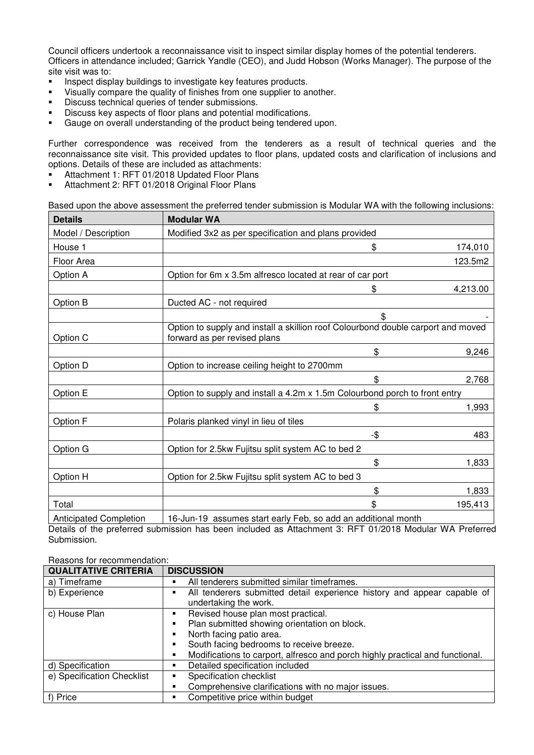Council officers undertook a reconnaissance visit to inspect similar display homes of the potential tenderers. Officers in attendance included; Garrick Yandle (CEO), and Judd Hobson (Works Manager). The purpose of the site visit was to:

- **Inspect display buildings to investigate key features products.**
- Visually compare the quality of finishes from one supplier to another.
- Discuss technical queries of tender submissions.
- Discuss key aspects of floor plans and potential modifications.
- Gauge on overall understanding of the product being tendered upon.

Further correspondence was received from the tenderers as a result of technical queries and the reconnaissance site visit. This provided updates to floor plans, updated costs and clarification of inclusions and options. Details of these are included as attachments:

- Attachment 1: RFT 01/2018 Updated Floor Plans
- Attachment 2: RFT 01/2018 Original Floor Plans

Based upon the above assessment the preferred tender submission is Modular WA with the following inclusions:

| <b>Details</b>         | <b>Modular WA</b>                                                                                                |          |
|------------------------|------------------------------------------------------------------------------------------------------------------|----------|
| Model / Description    | Modified 3x2 as per specification and plans provided                                                             |          |
| House 1                | \$                                                                                                               | 174,010  |
| Floor Area             |                                                                                                                  | 123.5m2  |
| Option A               | Option for 6m x 3.5m alfresco located at rear of car port                                                        |          |
|                        | \$                                                                                                               | 4,213.00 |
| Option B               | Ducted AC - not required                                                                                         |          |
|                        | \$.                                                                                                              |          |
| Option C               | Option to supply and install a skillion roof Colourbond double carport and moved<br>forward as per revised plans |          |
|                        | \$                                                                                                               | 9,246    |
| Option D               | Option to increase ceiling height to 2700mm                                                                      |          |
|                        | \$                                                                                                               | 2,768    |
| Option E               | Option to supply and install a 4.2m x 1.5m Colourbond porch to front entry                                       |          |
|                        | \$                                                                                                               | 1,993    |
| Option F               | Polaris planked vinyl in lieu of tiles                                                                           |          |
|                        | $-\$$                                                                                                            | 483      |
| Option G               | Option for 2.5kw Fujitsu split system AC to bed 2                                                                |          |
|                        | \$                                                                                                               | 1,833    |
| Option H               | Option for 2.5kw Fujitsu split system AC to bed 3                                                                |          |
|                        | \$                                                                                                               | 1,833    |
| Total                  | \$                                                                                                               | 195,413  |
| Anticipated Completion | 16. Jun. 19, accumes start early Eeb, so add an additional month                                                 |          |

Anticipated Completion 16-Jun-19 assumes start early Feb, so add an additional month Details of the preferred submission has been included as Attachment 3: RFT 01/2018 Modular WA Preferred Submission.

Reasons for recommendation:

| <b>QUALITATIVE CRITERIA</b> | <b>DISCUSSION</b>                                                                               |
|-----------------------------|-------------------------------------------------------------------------------------------------|
| a) Timeframe                | All tenderers submitted similar timeframes.<br>■                                                |
| b) Experience               | All tenderers submitted detail experience history and appear capable of<br>٠                    |
|                             | undertaking the work.                                                                           |
| c) House Plan               | Revised house plan most practical.<br>٠                                                         |
|                             | Plan submitted showing orientation on block.<br>٠                                               |
|                             | North facing patio area.<br>г                                                                   |
|                             | South facing bedrooms to receive breeze.                                                        |
|                             | Modifications to carport, alfresco and porch highly practical and functional.<br>$\blacksquare$ |
| d) Specification            | Detailed specification included                                                                 |
| e) Specification Checklist  | Specification checklist<br>٠                                                                    |
|                             | Comprehensive clarifications with no major issues.<br>٠                                         |
| f) Price                    | Competitive price within budget<br>■                                                            |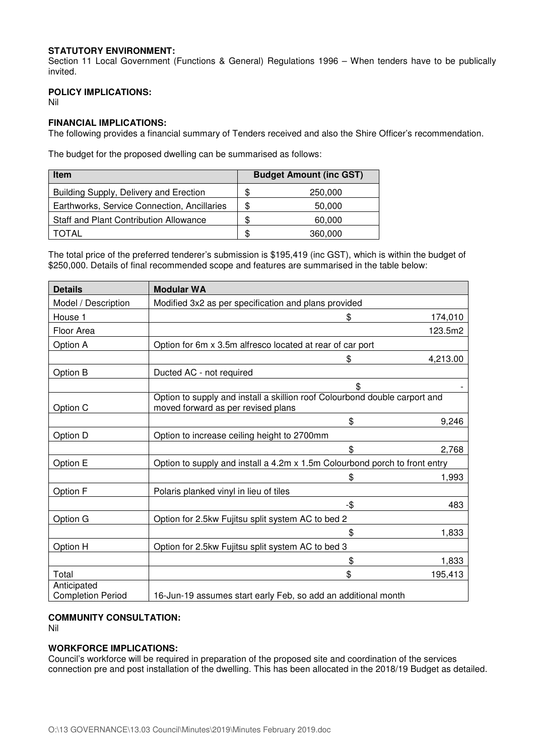## **STATUTORY ENVIRONMENT:**

Section 11 Local Government (Functions & General) Regulations 1996 – When tenders have to be publically invited.

## **POLICY IMPLICATIONS:**

Nil

## **FINANCIAL IMPLICATIONS:**

The following provides a financial summary of Tenders received and also the Shire Officer's recommendation.

The budget for the proposed dwelling can be summarised as follows:

| Item                                          |    | <b>Budget Amount (inc GST)</b> |
|-----------------------------------------------|----|--------------------------------|
| Building Supply, Delivery and Erection        | S  | 250,000                        |
| Earthworks, Service Connection, Ancillaries   | \$ | 50,000                         |
| <b>Staff and Plant Contribution Allowance</b> | \$ | 60,000                         |
| OTAL                                          | -8 | 360,000                        |

The total price of the preferred tenderer's submission is \$195,419 (inc GST), which is within the budget of \$250,000. Details of final recommended scope and features are summarised in the table below:

| <b>Details</b>                          | <b>Modular WA</b>                                                                                                |          |
|-----------------------------------------|------------------------------------------------------------------------------------------------------------------|----------|
| Model / Description                     | Modified 3x2 as per specification and plans provided                                                             |          |
| House 1                                 | \$                                                                                                               | 174,010  |
| Floor Area                              |                                                                                                                  | 123.5m2  |
| Option A                                | Option for 6m x 3.5m alfresco located at rear of car port                                                        |          |
|                                         | \$                                                                                                               | 4,213.00 |
| Option B                                | Ducted AC - not required                                                                                         |          |
|                                         | \$                                                                                                               |          |
| Option C                                | Option to supply and install a skillion roof Colourbond double carport and<br>moved forward as per revised plans |          |
|                                         | \$                                                                                                               | 9,246    |
| Option D                                | Option to increase ceiling height to 2700mm                                                                      |          |
|                                         | \$                                                                                                               | 2,768    |
| Option E                                | Option to supply and install a 4.2m x 1.5m Colourbond porch to front entry                                       |          |
|                                         | \$                                                                                                               | 1,993    |
| Option F                                | Polaris planked vinyl in lieu of tiles                                                                           |          |
|                                         | -\$                                                                                                              | 483      |
| Option G                                | Option for 2.5kw Fujitsu split system AC to bed 2                                                                |          |
|                                         | \$                                                                                                               | 1,833    |
| Option H                                | Option for 2.5kw Fujitsu split system AC to bed 3                                                                |          |
|                                         | \$                                                                                                               | 1,833    |
| Total                                   | \$                                                                                                               | 195,413  |
| Anticipated<br><b>Completion Period</b> | 16-Jun-19 assumes start early Feb, so add an additional month                                                    |          |

#### **COMMUNITY CONSULTATION:**

Nil

## **WORKFORCE IMPLICATIONS:**

Council's workforce will be required in preparation of the proposed site and coordination of the services connection pre and post installation of the dwelling. This has been allocated in the 2018/19 Budget as detailed.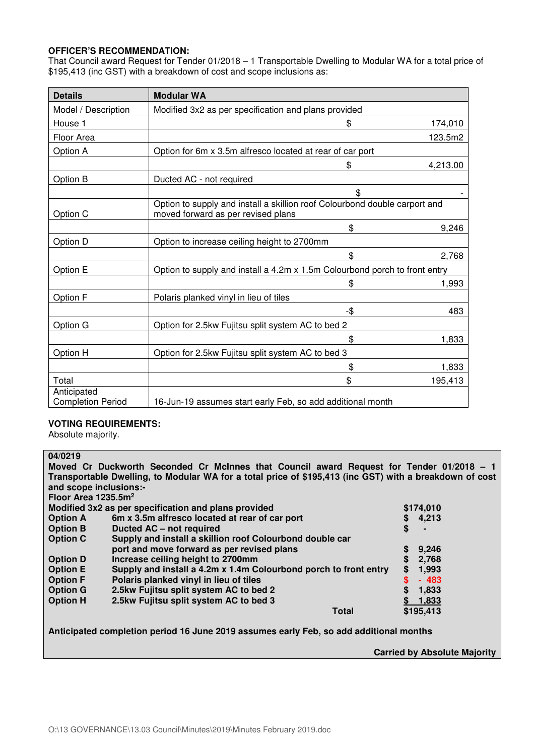## **OFFICER'S RECOMMENDATION:**

That Council award Request for Tender 01/2018 – 1 Transportable Dwelling to Modular WA for a total price of \$195,413 (inc GST) with a breakdown of cost and scope inclusions as:

| <b>Details</b>                          | <b>Modular WA</b>                                                                                                |          |
|-----------------------------------------|------------------------------------------------------------------------------------------------------------------|----------|
| Model / Description                     | Modified 3x2 as per specification and plans provided                                                             |          |
| House 1                                 | \$                                                                                                               | 174,010  |
| Floor Area                              |                                                                                                                  | 123.5m2  |
| Option A                                | Option for 6m x 3.5m alfresco located at rear of car port                                                        |          |
|                                         | \$                                                                                                               | 4,213.00 |
| Option B                                | Ducted AC - not required                                                                                         |          |
|                                         | \$                                                                                                               |          |
| Option C                                | Option to supply and install a skillion roof Colourbond double carport and<br>moved forward as per revised plans |          |
|                                         | \$                                                                                                               | 9,246    |
| Option D                                | Option to increase ceiling height to 2700mm                                                                      |          |
|                                         | \$                                                                                                               | 2,768    |
| Option E                                | Option to supply and install a 4.2m x 1.5m Colourbond porch to front entry                                       |          |
|                                         | \$                                                                                                               | 1,993    |
| Option F                                | Polaris planked vinyl in lieu of tiles                                                                           |          |
|                                         | -\$                                                                                                              | 483      |
| Option G                                | Option for 2.5kw Fujitsu split system AC to bed 2                                                                |          |
|                                         | \$                                                                                                               | 1,833    |
| Option H                                | Option for 2.5kw Fujitsu split system AC to bed 3                                                                |          |
|                                         | \$                                                                                                               | 1,833    |
| Total                                   | \$                                                                                                               | 195,413  |
| Anticipated<br><b>Completion Period</b> | 16-Jun-19 assumes start early Feb, so add additional month                                                       |          |

## **VOTING REQUIREMENTS:**

Absolute majority.

## **04/0219**

|                        | Moved Cr Duckworth Seconded Cr McInnes that Council award Request for Tender 01/2018 - 1                |             |  |  |  |  |
|------------------------|---------------------------------------------------------------------------------------------------------|-------------|--|--|--|--|
|                        | Transportable Dwelling, to Modular WA for a total price of \$195,413 (inc GST) with a breakdown of cost |             |  |  |  |  |
| and scope inclusions:- |                                                                                                         |             |  |  |  |  |
| Floor Area $1235.5m2$  |                                                                                                         |             |  |  |  |  |
|                        | Modified 3x2 as per specification and plans provided                                                    | \$174,010   |  |  |  |  |
| <b>Option A</b>        | 6m x 3.5m alfresco located at rear of car port                                                          | \$4,213     |  |  |  |  |
| <b>Option B</b>        | Ducted AC - not required                                                                                | $\ddot{s}$  |  |  |  |  |
| <b>Option C</b>        | Supply and install a skillion roof Colourbond double car                                                |             |  |  |  |  |
|                        | port and move forward as per revised plans                                                              | 9,246       |  |  |  |  |
| <b>Option D</b>        | Increase ceiling height to 2700mm                                                                       | \$<br>2,768 |  |  |  |  |
| <b>Option E</b>        | Supply and install a 4.2m x 1.4m Colourbond porch to front entry                                        | \$<br>1,993 |  |  |  |  |
| <b>Option F</b>        | Polaris planked vinyl in lieu of tiles                                                                  | $-483$      |  |  |  |  |
| <b>Option G</b>        | 2.5kw Fujitsu split system AC to bed 2                                                                  | 1,833       |  |  |  |  |
| <b>Option H</b>        | 2.5kw Fujitsu split system AC to bed 3                                                                  | \$1,833     |  |  |  |  |
|                        | <b>Total</b>                                                                                            | \$195,413   |  |  |  |  |
|                        |                                                                                                         |             |  |  |  |  |

**Anticipated completion period 16 June 2019 assumes early Feb, so add additional months** 

**Carried by Absolute Majority**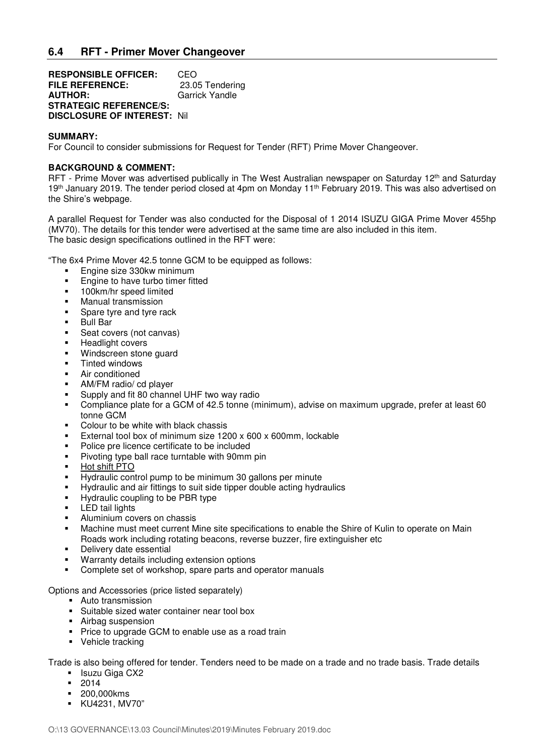**RESPONSIBLE OFFICER:** CEO **FILE REFERENCE:** 23.05 Tendering **AUTHOR: Garrick Yandle STRATEGIC REFERENCE/S: DISCLOSURE OF INTEREST:** Nil

#### **SUMMARY:**

For Council to consider submissions for Request for Tender (RFT) Prime Mover Changeover.

#### **BACKGROUND & COMMENT:**

RFT - Prime Mover was advertised publically in The West Australian newspaper on Saturday 12<sup>th</sup> and Saturday 19<sup>th</sup> January 2019. The tender period closed at 4pm on Monday 11<sup>th</sup> February 2019. This was also advertised on the Shire's webpage.

A parallel Request for Tender was also conducted for the Disposal of 1 2014 ISUZU GIGA Prime Mover 455hp (MV70). The details for this tender were advertised at the same time are also included in this item. The basic design specifications outlined in the RFT were:

"The 6x4 Prime Mover 42.5 tonne GCM to be equipped as follows:

- Engine size 330kw minimum<br>■ Engine to have turbo timer fit
- Engine to have turbo timer fitted
- **100km/hr speed limited**
- **Manual transmission**
- **Spare tyre and tyre rack**
- Bull Bar
- Seat covers (not canvas)
- **Headlight covers**
- **Windscreen stone guard**
- **-** Tinted windows
- **Air conditioned**
- AM/FM radio/ cd player
- **Supply and fit 80 channel UHF two way radio**
- Compliance plate for a GCM of 42.5 tonne (minimum), advise on maximum upgrade, prefer at least 60 tonne GCM
- Colour to be white with black chassis
- External tool box of minimum size 1200 x 600 x 600mm, lockable
- Police pre licence certificate to be included
- **Pivoting type ball race turntable with 90mm pin**
- Hot shift PTO
- **Hydraulic control pump to be minimum 30 gallons per minute**
- **Hydraulic and air fittings to suit side tipper double acting hydraulics**
- **Hydraulic coupling to be PBR type**
- **LED** tail lights
- Aluminium covers on chassis
- Machine must meet current Mine site specifications to enable the Shire of Kulin to operate on Main Roads work including rotating beacons, reverse buzzer, fire extinguisher etc
- Delivery date essential
- Warranty details including extension options
- **Complete set of workshop, spare parts and operator manuals**

Options and Accessories (price listed separately)

- **Auto transmission**
- Suitable sized water container near tool box
- **Airbag suspension**
- Price to upgrade GCM to enable use as a road train
- Vehicle tracking

Trade is also being offered for tender. Tenders need to be made on a trade and no trade basis. Trade details

- **Isuzu Giga CX2**
- 2014
- **200,000kms**
- KU4231, MV70"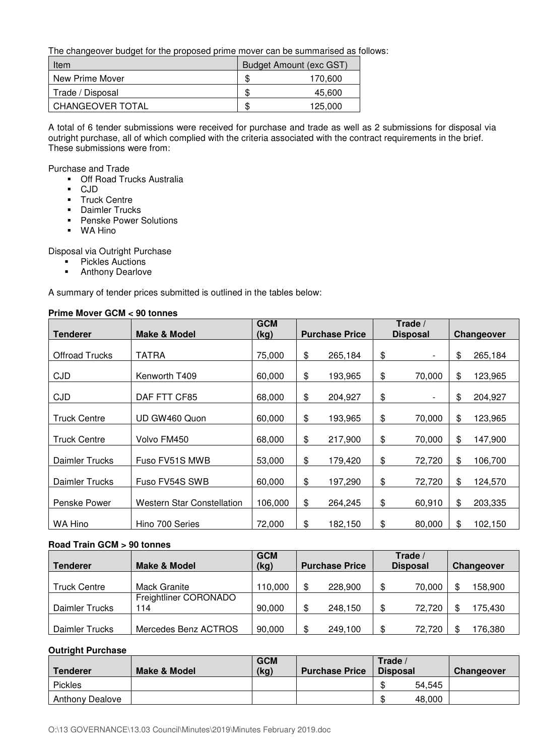The changeover budget for the proposed prime mover can be summarised as follows:

| Item                    | Budget Amount (exc GST) |         |  |  |  |
|-------------------------|-------------------------|---------|--|--|--|
| New Prime Mover         |                         | 170.600 |  |  |  |
| Trade / Disposal        |                         | 45.600  |  |  |  |
| <b>CHANGEOVER TOTAL</b> | S                       | 125,000 |  |  |  |

A total of 6 tender submissions were received for purchase and trade as well as 2 submissions for disposal via outright purchase, all of which complied with the criteria associated with the contract requirements in the brief. These submissions were from:

Purchase and Trade

- **Off Road Trucks Australia**
- CJD
- **Truck Centre**
- **-** Daimler Trucks
- **Penske Power Solutions**
- WA Hino

Disposal via Outright Purchase

- **Pickles Auctions**
- **-** Anthony Dearlove

A summary of tender prices submitted is outlined in the tables below:

### **Prime Mover GCM < 90 tonnes**

|                       |                                   | <b>GCM</b> |                       | Trade /         |               |
|-----------------------|-----------------------------------|------------|-----------------------|-----------------|---------------|
| <b>Tenderer</b>       | Make & Model                      | (kg)       | <b>Purchase Price</b> | <b>Disposal</b> | Changeover    |
| <b>Offroad Trucks</b> | TATRA                             | 75,000     | \$<br>265,184         | \$              | \$<br>265,184 |
| <b>CJD</b>            | Kenworth T409                     | 60,000     | \$<br>193,965         | \$<br>70,000    | \$<br>123,965 |
| <b>CJD</b>            | DAF FTT CF85                      | 68,000     | \$<br>204,927         | \$              | \$<br>204,927 |
| <b>Truck Centre</b>   | UD GW460 Quon                     | 60,000     | \$<br>193,965         | \$<br>70,000    | \$<br>123,965 |
| <b>Truck Centre</b>   | Volvo FM450                       | 68,000     | \$<br>217,900         | \$<br>70,000    | \$<br>147,900 |
| Daimler Trucks        | Fuso FV51S MWB                    | 53,000     | \$<br>179,420         | \$<br>72,720    | \$<br>106,700 |
| Daimler Trucks        | Fuso FV54S SWB                    | 60,000     | \$<br>197,290         | \$<br>72,720    | \$<br>124,570 |
| Penske Power          | <b>Western Star Constellation</b> | 106,000    | \$<br>264,245         | \$<br>60,910    | \$<br>203,335 |
| WA Hino               | Hino 700 Series                   | 72,000     | \$<br>182,150         | \$<br>80,000    | \$<br>102,150 |

## **Road Train GCM > 90 tonnes**

|                     |                         | <b>GCM</b> |   |                       |   | Trade /         |            |
|---------------------|-------------------------|------------|---|-----------------------|---|-----------------|------------|
| <b>Tenderer</b>     | <b>Make &amp; Model</b> | (kg)       |   | <b>Purchase Price</b> |   | <b>Disposal</b> | Changeover |
|                     |                         |            |   |                       |   |                 |            |
| <b>Truck Centre</b> | Mack Granite            | 110.000    |   | 228,900               |   | 70,000          | 158,900    |
|                     | Freightliner CORONADO   |            |   |                       |   |                 |            |
| Daimler Trucks      | 114                     | 90,000     |   | 248,150               |   | 72,720          | 175,430    |
|                     |                         |            |   |                       |   |                 |            |
| Daimler Trucks      | Mercedes Benz ACTROS    | 90,000     | Œ | 249,100               | æ | 72,720          | 176,380    |

## **Outright Purchase**

| <b>Tenderer</b>        | <b>Make &amp; Model</b> | <b>GCM</b><br>(kg) | <b>Purchase Price</b> | Trade<br><b>Disposal</b> |        | Changeover |
|------------------------|-------------------------|--------------------|-----------------------|--------------------------|--------|------------|
| <b>Pickles</b>         |                         |                    |                       |                          | 54.545 |            |
| <b>Anthony Dealove</b> |                         |                    |                       |                          | 48,000 |            |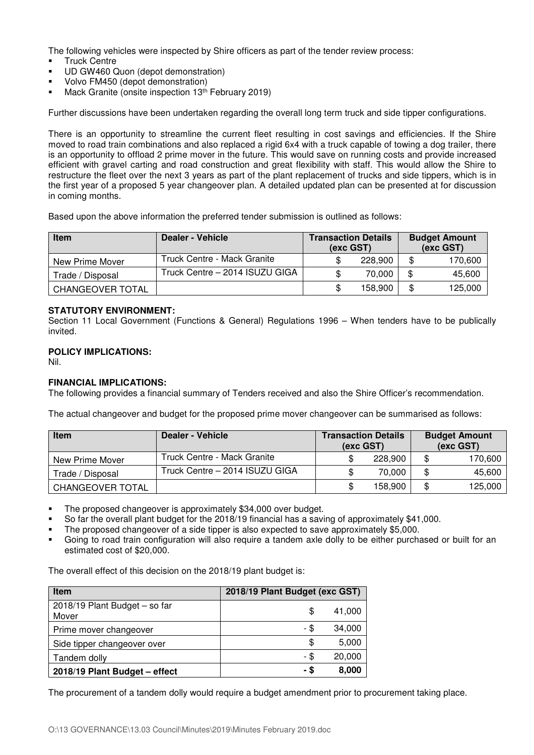The following vehicles were inspected by Shire officers as part of the tender review process:

- **Truck Centre**
- **UD GW460 Quon (depot demonstration)**
- Volvo FM450 (depot demonstration)
- Mack Granite (onsite inspection 13<sup>th</sup> February 2019)

Further discussions have been undertaken regarding the overall long term truck and side tipper configurations.

There is an opportunity to streamline the current fleet resulting in cost savings and efficiencies. If the Shire moved to road train combinations and also replaced a rigid 6x4 with a truck capable of towing a dog trailer, there is an opportunity to offload 2 prime mover in the future. This would save on running costs and provide increased efficient with gravel carting and road construction and great flexibility with staff. This would allow the Shire to restructure the fleet over the next 3 years as part of the plant replacement of trucks and side tippers, which is in the first year of a proposed 5 year changeover plan. A detailed updated plan can be presented at for discussion in coming months.

Based upon the above information the preferred tender submission is outlined as follows:

| <b>Item</b>      | Dealer - Vehicle               | <b>Transaction Details</b><br>(exc GST) |         | <b>Budget Amount</b><br>(exc GST) |         |
|------------------|--------------------------------|-----------------------------------------|---------|-----------------------------------|---------|
| New Prime Mover  | Truck Centre - Mack Granite    |                                         | 228,900 |                                   | 170,600 |
| Trade / Disposal | Truck Centre - 2014 ISUZU GIGA |                                         | 70.000  | \$                                | 45,600  |
| CHANGEOVER TOTAL |                                |                                         | 158,900 | S                                 | 125,000 |

#### **STATUTORY ENVIRONMENT:**

Section 11 Local Government (Functions & General) Regulations 1996 – When tenders have to be publically invited.

### **POLICY IMPLICATIONS:**

Nil.

## **FINANCIAL IMPLICATIONS:**

The following provides a financial summary of Tenders received and also the Shire Officer's recommendation.

The actual changeover and budget for the proposed prime mover changeover can be summarised as follows:

| Item                    | Dealer - Vehicle               |  | <b>Transaction Details</b><br>(exc GST) |   | <b>Budget Amount</b><br>(exc GST) |
|-------------------------|--------------------------------|--|-----------------------------------------|---|-----------------------------------|
| New Prime Mover         | Truck Centre - Mack Granite    |  | 228,900                                 |   | 170,600                           |
| Trade / Disposal        | Truck Centre - 2014 ISUZU GIGA |  | 70.000                                  |   | 45,600                            |
| <b>CHANGEOVER TOTAL</b> |                                |  | 158,900                                 | S | 125,000                           |

The proposed changeover is approximately \$34,000 over budget.

- So far the overall plant budget for the 2018/19 financial has a saving of approximately \$41,000.
- The proposed changeover of a side tipper is also expected to save approximately \$5,000.
- Going to road train configuration will also require a tandem axle dolly to be either purchased or built for an estimated cost of \$20,000.

The overall effect of this decision on the 2018/19 plant budget is:

| <b>Item</b>                            | 2018/19 Plant Budget (exc GST) |        |  |
|----------------------------------------|--------------------------------|--------|--|
| 2018/19 Plant Budget - so far<br>Mover | \$                             | 41,000 |  |
| Prime mover changeover                 | - \$                           | 34,000 |  |
| Side tipper changeover over            | \$                             | 5,000  |  |
| Tandem dolly                           | - \$                           | 20,000 |  |
| 2018/19 Plant Budget - effect          | - \$                           | 8,000  |  |

The procurement of a tandem dolly would require a budget amendment prior to procurement taking place.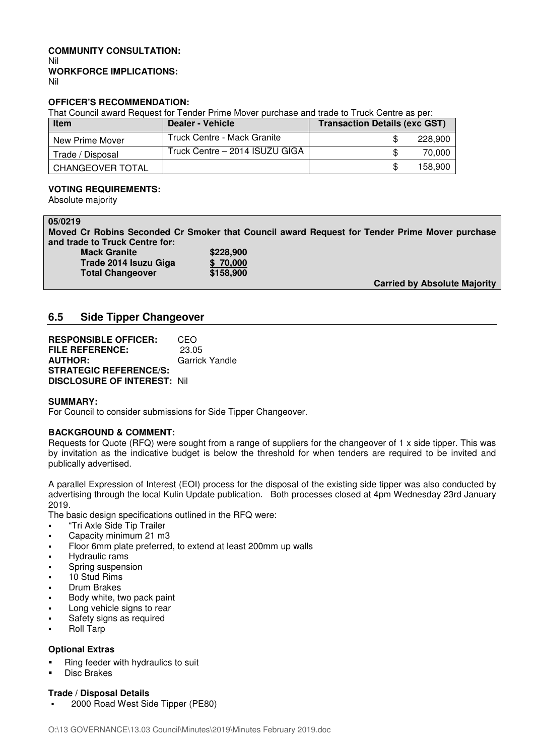#### **COMMUNITY CONSULTATION:** Nil **WORKFORCE IMPLICATIONS:**  Nil

## **OFFICER'S RECOMMENDATION:**

That Council award Request for Tender Prime Mover purchase and trade to Truck Centre as per:

| <b>Item</b>             | Dealer - Vehicle               | <b>Transaction Details (exc GST)</b> |
|-------------------------|--------------------------------|--------------------------------------|
| New Prime Mover         | Truck Centre - Mack Granite    | 228.900                              |
| Trade / Disposal        | Truck Centre - 2014 ISUZU GIGA | 70.000                               |
| <b>CHANGEOVER TOTAL</b> |                                | 158.900                              |

## **VOTING REQUIREMENTS:**

Absolute majority

**05/0219** 

| 05/0219                        |                                                                                               |  |
|--------------------------------|-----------------------------------------------------------------------------------------------|--|
|                                | Moved Cr Robins Seconded Cr Smoker that Council award Request for Tender Prime Mover purchase |  |
| and trade to Truck Centre for: |                                                                                               |  |
| <b>Mack Granite</b>            | \$228,900                                                                                     |  |

| Mack Granie           | <b>ALLO, JUU</b> |
|-----------------------|------------------|
| Trade 2014 Isuzu Giga | \$70,000         |
| Total Changeover      | \$158,900        |

**Carried by Absolute Majority** 

## **6.5 Side Tipper Changeover**

| <b>RESPONSIBLE OFFICER:</b>        | CEO            |
|------------------------------------|----------------|
| <b>FILE REFERENCE:</b>             | 23.05          |
| <b>AUTHOR:</b>                     | Garrick Yandle |
| <b>STRATEGIC REFERENCE/S:</b>      |                |
| <b>DISCLOSURE OF INTEREST: Nil</b> |                |

#### **SUMMARY:**

For Council to consider submissions for Side Tipper Changeover.

## **BACKGROUND & COMMENT:**

Requests for Quote (RFQ) were sought from a range of suppliers for the changeover of 1 x side tipper. This was by invitation as the indicative budget is below the threshold for when tenders are required to be invited and publically advertised.

A parallel Expression of Interest (EOI) process for the disposal of the existing side tipper was also conducted by advertising through the local Kulin Update publication. Both processes closed at 4pm Wednesday 23rd January 2019.

The basic design specifications outlined in the RFQ were:

- "Tri Axle Side Tip Trailer
- Capacity minimum 21 m3
- Floor 6mm plate preferred, to extend at least 200mm up walls
- Hydraulic rams
- Spring suspension
- 10 Stud Rims
- Drum Brakes
- Body white, two pack paint
- Long vehicle signs to rear
- Safety signs as required
- Roll Tarp

#### **Optional Extras**

- Ring feeder with hydraulics to suit
- Disc Brakes

#### **Trade / Disposal Details**

2000 Road West Side Tipper (PE80)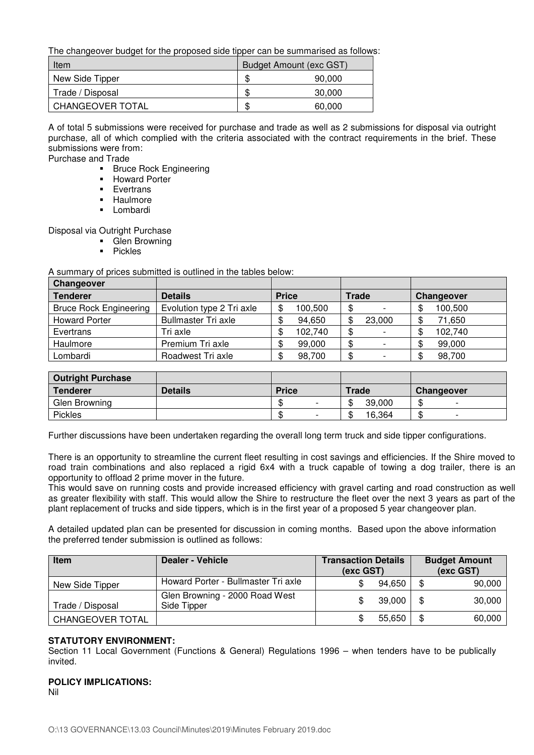The changeover budget for the proposed side tipper can be summarised as follows:

| Item                    | Budget Amount (exc GST) |        |  |
|-------------------------|-------------------------|--------|--|
| New Side Tipper         |                         | 90,000 |  |
| Trade / Disposal        |                         | 30,000 |  |
| <b>CHANGEOVER TOTAL</b> |                         | 60,000 |  |

A of total 5 submissions were received for purchase and trade as well as 2 submissions for disposal via outright purchase, all of which complied with the criteria associated with the contract requirements in the brief. These submissions were from:

Purchase and Trade

- **Bruce Rock Engineering**
- **-** Howard Porter
- **Evertrans**
- **Haulmore**
- **-** Lombardi

Disposal via Outright Purchase

- **Glen Browning**
- **•** Pickles

### A summary of prices submitted is outlined in the tables below:

| Changeover                    |                            |                  |              |              |
|-------------------------------|----------------------------|------------------|--------------|--------------|
| <b>Tenderer</b>               | <b>Details</b>             | <b>Price</b>     | <b>Trade</b> | Changeover   |
| <b>Bruce Rock Engineering</b> | Evolution type 2 Tri axle  | 100,500<br>\$    | \$           | 100,500<br>S |
| <b>Howard Porter</b>          | <b>Bullmaster Tri axle</b> | 94,650<br>ጦ<br>æ | 23,000       | 71,650<br>σ  |
| Evertrans                     | Tri axle                   | 102,740<br>ጦ     | ß.           | 102,740<br>σ |
| Haulmore                      | Premium Tri axle           | 99,000<br>ጦ<br>Ф | \$           | 99,000<br>\$ |
| Lombardi                      | Roadwest Tri axle          | 98,700<br>ጦ<br>Ф | \$           | 98,700<br>\$ |

| <b>Outright Purchase</b> |                |              |        |                                    |
|--------------------------|----------------|--------------|--------|------------------------------------|
| <b>Tenderer</b>          | <b>Details</b> | <b>Price</b> | Trade  | Changeover                         |
| Glen Browning            |                |              | 39,000 | $\overline{\phantom{0}}$<br>۰D     |
| <b>Pickles</b>           |                |              | 16,364 | ጦ<br>$\overline{\phantom{0}}$<br>Œ |

Further discussions have been undertaken regarding the overall long term truck and side tipper configurations.

There is an opportunity to streamline the current fleet resulting in cost savings and efficiencies. If the Shire moved to road train combinations and also replaced a rigid 6x4 with a truck capable of towing a dog trailer, there is an opportunity to offload 2 prime mover in the future.

This would save on running costs and provide increased efficiency with gravel carting and road construction as well as greater flexibility with staff. This would allow the Shire to restructure the fleet over the next 3 years as part of the plant replacement of trucks and side tippers, which is in the first year of a proposed 5 year changeover plan.

A detailed updated plan can be presented for discussion in coming months. Based upon the above information the preferred tender submission is outlined as follows:

| <b>Item</b>             | Dealer - Vehicle                              | <b>Transaction Details</b><br>(exc GST) |          |      | <b>Budget Amount</b><br>(exc GST) |
|-------------------------|-----------------------------------------------|-----------------------------------------|----------|------|-----------------------------------|
| New Side Tipper         | Howard Porter - Bullmaster Tri axle           |                                         | 94.650   | - \$ | 90,000                            |
| Trade / Disposal        | Glen Browning - 2000 Road West<br>Side Tipper |                                         | $39,000$ | - \$ | 30,000                            |
| <b>CHANGEOVER TOTAL</b> |                                               |                                         | 55.650   |      | 60,000                            |

## **STATUTORY ENVIRONMENT:**

Section 11 Local Government (Functions & General) Regulations 1996 – when tenders have to be publically invited.

## **POLICY IMPLICATIONS:**

Nil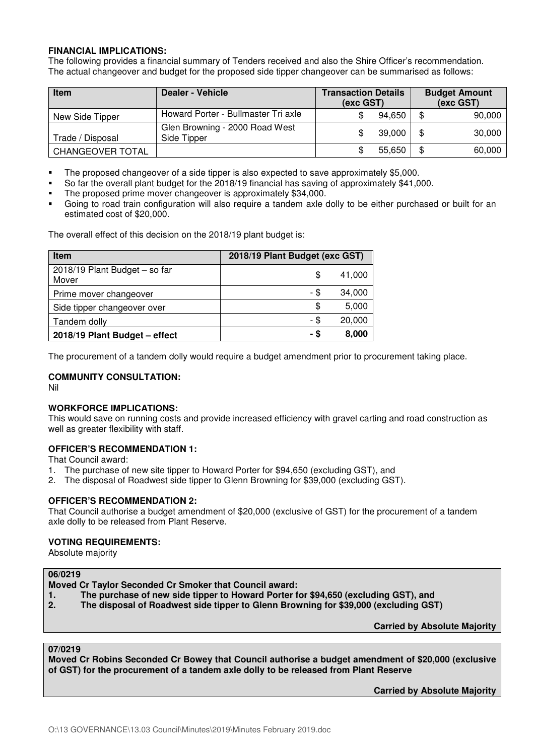## **FINANCIAL IMPLICATIONS:**

The following provides a financial summary of Tenders received and also the Shire Officer's recommendation. The actual changeover and budget for the proposed side tipper changeover can be summarised as follows:

| <b>Item</b>      | Dealer - Vehicle                              | <b>Transaction Details</b><br>(exc GST) |        | <b>Budget Amount</b><br>(exc GST) |        |
|------------------|-----------------------------------------------|-----------------------------------------|--------|-----------------------------------|--------|
| New Side Tipper  | Howard Porter - Bullmaster Tri axle           |                                         | 94.650 |                                   | 90,000 |
| Trade / Disposal | Glen Browning - 2000 Road West<br>Side Tipper |                                         | 39,000 |                                   | 30,000 |
| CHANGEOVER TOTAL |                                               |                                         | 55.650 |                                   | 60,000 |

- The proposed changeover of a side tipper is also expected to save approximately \$5,000.
- So far the overall plant budget for the 2018/19 financial has saving of approximately \$41,000.
- The proposed prime mover changeover is approximately \$34,000.
- Going to road train configuration will also require a tandem axle dolly to be either purchased or built for an estimated cost of \$20,000.

The overall effect of this decision on the 2018/19 plant budget is:

| <b>Item</b>                            | 2018/19 Plant Budget (exc GST) |        |
|----------------------------------------|--------------------------------|--------|
| 2018/19 Plant Budget - so far<br>Mover | S                              | 41,000 |
| Prime mover changeover                 | - \$                           | 34,000 |
| Side tipper changeover over            | \$                             | 5,000  |
| Tandem dolly                           | - \$                           | 20,000 |
| 2018/19 Plant Budget - effect          | - \$                           | 8,000  |

The procurement of a tandem dolly would require a budget amendment prior to procurement taking place.

## **COMMUNITY CONSULTATION:**

Nil

## **WORKFORCE IMPLICATIONS:**

This would save on running costs and provide increased efficiency with gravel carting and road construction as well as greater flexibility with staff.

## **OFFICER'S RECOMMENDATION 1:**

That Council award:

- 1. The purchase of new site tipper to Howard Porter for \$94,650 (excluding GST), and
- 2. The disposal of Roadwest side tipper to Glenn Browning for \$39,000 (excluding GST).

## **OFFICER'S RECOMMENDATION 2:**

That Council authorise a budget amendment of \$20,000 (exclusive of GST) for the procurement of a tandem axle dolly to be released from Plant Reserve.

## **VOTING REQUIREMENTS:**

Absolute majority

## **06/0219**

**Moved Cr Taylor Seconded Cr Smoker that Council award:** 

- **1. The purchase of new side tipper to Howard Porter for \$94,650 (excluding GST), and**
- **2. The disposal of Roadwest side tipper to Glenn Browning for \$39,000 (excluding GST)**

**Carried by Absolute Majority** 

## **07/0219**

**Moved Cr Robins Seconded Cr Bowey that Council authorise a budget amendment of \$20,000 (exclusive of GST) for the procurement of a tandem axle dolly to be released from Plant Reserve** 

**Carried by Absolute Majority**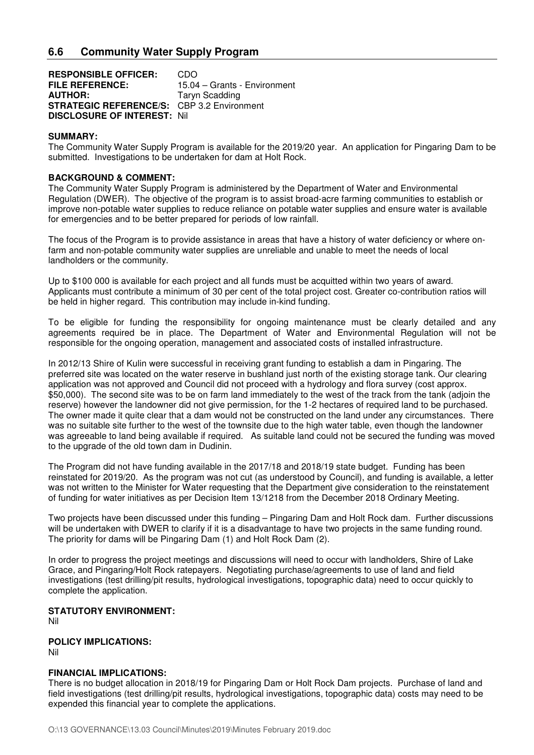**RESPONSIBLE OFFICER:** CDO **FILE REFERENCE:** 15.04 – Grants - Environment **AUTHOR:** Taryn Scadding **STRATEGIC REFERENCE/S:** CBP 3.2 Environment **DISCLOSURE OF INTEREST:** Nil

#### **SUMMARY:**

The Community Water Supply Program is available for the 2019/20 year. An application for Pingaring Dam to be submitted. Investigations to be undertaken for dam at Holt Rock.

#### **BACKGROUND & COMMENT:**

The Community Water Supply Program is administered by the Department of Water and Environmental Regulation (DWER). The objective of the program is to assist broad-acre farming communities to establish or improve non-potable water supplies to reduce reliance on potable water supplies and ensure water is available for emergencies and to be better prepared for periods of low rainfall.

The focus of the Program is to provide assistance in areas that have a history of water deficiency or where onfarm and non-potable community water supplies are unreliable and unable to meet the needs of local landholders or the community.

Up to \$100 000 is available for each project and all funds must be acquitted within two years of award. Applicants must contribute a minimum of 30 per cent of the total project cost. Greater co-contribution ratios will be held in higher regard. This contribution may include in-kind funding.

To be eligible for funding the responsibility for ongoing maintenance must be clearly detailed and any agreements required be in place. The Department of Water and Environmental Regulation will not be responsible for the ongoing operation, management and associated costs of installed infrastructure.

In 2012/13 Shire of Kulin were successful in receiving grant funding to establish a dam in Pingaring. The preferred site was located on the water reserve in bushland just north of the existing storage tank. Our clearing application was not approved and Council did not proceed with a hydrology and flora survey (cost approx. \$50,000). The second site was to be on farm land immediately to the west of the track from the tank (adjoin the reserve) however the landowner did not give permission, for the 1-2 hectares of required land to be purchased. The owner made it quite clear that a dam would not be constructed on the land under any circumstances. There was no suitable site further to the west of the townsite due to the high water table, even though the landowner was agreeable to land being available if required. As suitable land could not be secured the funding was moved to the upgrade of the old town dam in Dudinin.

The Program did not have funding available in the 2017/18 and 2018/19 state budget. Funding has been reinstated for 2019/20. As the program was not cut (as understood by Council), and funding is available, a letter was not written to the Minister for Water requesting that the Department give consideration to the reinstatement of funding for water initiatives as per Decision Item 13/1218 from the December 2018 Ordinary Meeting.

Two projects have been discussed under this funding – Pingaring Dam and Holt Rock dam. Further discussions will be undertaken with DWER to clarify if it is a disadvantage to have two projects in the same funding round. The priority for dams will be Pingaring Dam (1) and Holt Rock Dam (2).

In order to progress the project meetings and discussions will need to occur with landholders, Shire of Lake Grace, and Pingaring/Holt Rock ratepayers. Negotiating purchase/agreements to use of land and field investigations (test drilling/pit results, hydrological investigations, topographic data) need to occur quickly to complete the application.

## **STATUTORY ENVIRONMENT:**

Nil

## **POLICY IMPLICATIONS:**

Nil

## **FINANCIAL IMPLICATIONS:**

There is no budget allocation in 2018/19 for Pingaring Dam or Holt Rock Dam projects. Purchase of land and field investigations (test drilling/pit results, hydrological investigations, topographic data) costs may need to be expended this financial year to complete the applications.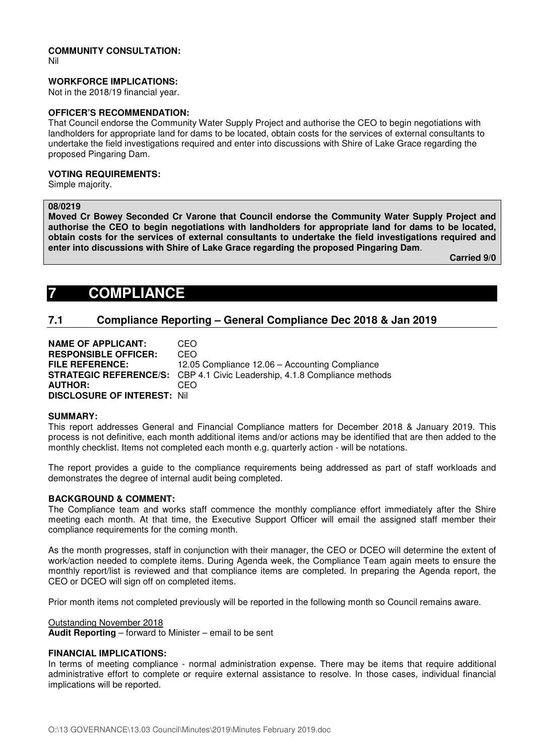#### **COMMUNITY CONSULTATION:**

Nil

#### **WORKFORCE IMPLICATIONS:**

Not in the 2018/19 financial year.

#### **OFFICER'S RECOMMENDATION:**

That Council endorse the Community Water Supply Project and authorise the CEO to begin negotiations with landholders for appropriate land for dams to be located, obtain costs for the services of external consultants to undertake the field investigations required and enter into discussions with Shire of Lake Grace regarding the proposed Pingaring Dam.

#### **VOTING REQUIREMENTS:**

Simple majority.

#### **08/0219**

**Moved Cr Bowey Seconded Cr Varone that Council endorse the Community Water Supply Project and authorise the CEO to begin negotiations with landholders for appropriate land for dams to be located, obtain costs for the services of external consultants to undertake the field investigations required and enter into discussions with Shire of Lake Grace regarding the proposed Pingaring Dam**.

**Carried 9/0** 

## **7 COMPLIANCE**

## **7.1 Compliance Reporting – General Compliance Dec 2018 & Jan 2019**

**NAME OF APPLICANT:** CEO **RESPONSIBLE OFFICER:** CEO **FILE REFERENCE:** 12.05 Compliance 12.06 – Accounting Compliance **STRATEGIC REFERENCE/S:** CBP 4.1 Civic Leadership, 4.1.8 Compliance methods **AUTHOR:** CEO **DISCLOSURE OF INTEREST:** Nil

#### **SUMMARY:**

This report addresses General and Financial Compliance matters for December 2018 & January 2019. This process is not definitive, each month additional items and/or actions may be identified that are then added to the monthly checklist. Items not completed each month e.g. quarterly action - will be notations.

The report provides a guide to the compliance requirements being addressed as part of staff workloads and demonstrates the degree of internal audit being completed.

#### **BACKGROUND & COMMENT:**

The Compliance team and works staff commence the monthly compliance effort immediately after the Shire meeting each month. At that time, the Executive Support Officer will email the assigned staff member their compliance requirements for the coming month.

As the month progresses, staff in conjunction with their manager, the CEO or DCEO will determine the extent of work/action needed to complete items. During Agenda week, the Compliance Team again meets to ensure the monthly report/list is reviewed and that compliance items are completed. In preparing the Agenda report, the CEO or DCEO will sign off on completed items.

Prior month items not completed previously will be reported in the following month so Council remains aware.

#### Outstanding November 2018

**Audit Reporting** – forward to Minister – email to be sent

#### **FINANCIAL IMPLICATIONS:**

In terms of meeting compliance - normal administration expense. There may be items that require additional administrative effort to complete or require external assistance to resolve. In those cases, individual financial implications will be reported.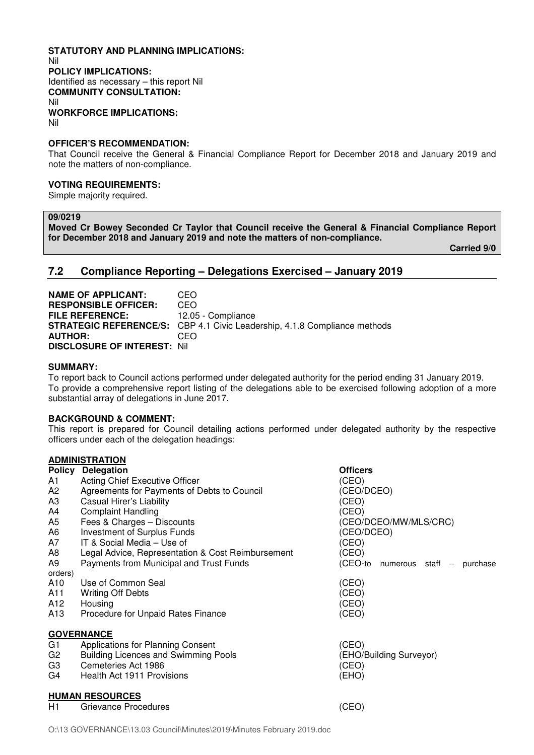#### **STATUTORY AND PLANNING IMPLICATIONS:**  Nil

**POLICY IMPLICATIONS:**  Identified as necessary – this report Nil **COMMUNITY CONSULTATION:**  Nil **WORKFORCE IMPLICATIONS:** 

Nil

## **OFFICER'S RECOMMENDATION:**

That Council receive the General & Financial Compliance Report for December 2018 and January 2019 and note the matters of non-compliance.

#### **VOTING REQUIREMENTS:**

Simple majority required.

#### **09/0219**

**Moved Cr Bowey Seconded Cr Taylor that Council receive the General & Financial Compliance Report for December 2018 and January 2019 and note the matters of non-compliance.** 

 **Carried 9/0** 

## **7.2 Compliance Reporting – Delegations Exercised – January 2019**

| <b>NAME OF APPLICANT:</b>          | CEO.                                                                             |
|------------------------------------|----------------------------------------------------------------------------------|
| <b>RESPONSIBLE OFFICER:</b>        | CEO                                                                              |
| <b>FILE REFERENCE:</b>             | 12.05 - Compliance                                                               |
|                                    | <b>STRATEGIC REFERENCE/S:</b> CBP 4.1 Civic Leadership, 4.1.8 Compliance methods |
| <b>AUTHOR:</b>                     | CEO.                                                                             |
| <b>DISCLOSURE OF INTEREST: Nil</b> |                                                                                  |

#### **SUMMARY:**

To report back to Council actions performed under delegated authority for the period ending 31 January 2019. To provide a comprehensive report listing of the delegations able to be exercised following adoption of a more substantial array of delegations in June 2017.

#### **BACKGROUND & COMMENT:**

This report is prepared for Council detailing actions performed under delegated authority by the respective officers under each of the delegation headings:

#### **ADMINISTRATION**

| <b>Policy</b>  | <b>Delegation</b>                                 | <b>Officers</b>                      |
|----------------|---------------------------------------------------|--------------------------------------|
| A1             | Acting Chief Executive Officer                    | (CEO)                                |
| A2             | Agreements for Payments of Debts to Council       | (CEO/DCEO)                           |
| A <sub>3</sub> | Casual Hirer's Liability                          | (CEO)                                |
| A4             | <b>Complaint Handling</b>                         | (CEO)                                |
| A5             | Fees & Charges - Discounts                        | (CEO/DCEO/MW/MLS/CRC)                |
| A6             | Investment of Surplus Funds                       | (CEO/DCEO)                           |
| A7             | IT & Social Media – Use of                        | (CEO)                                |
| A <sub>8</sub> | Legal Advice, Representation & Cost Reimbursement | (CEO)                                |
| A9             | Payments from Municipal and Trust Funds           | (CEO-to numerous staff -<br>purchase |
| orders)        |                                                   |                                      |
| A10            | Use of Common Seal                                | (CEO)                                |
| A11            | <b>Writing Off Debts</b>                          | (CEO)                                |
| A12            | Housing                                           | (CEO)                                |
| A13            | Procedure for Unpaid Rates Finance                | (CEO)                                |
|                | <b>GOVERNANCE</b>                                 |                                      |
| G <sub>1</sub> | Applications for Planning Consent                 | (CEO)                                |
| G <sub>2</sub> | <b>Building Licences and Swimming Pools</b>       | (EHO/Building Surveyor)              |
| G3             | Cemeteries Act 1986                               | (CEO)                                |
| G4             | Health Act 1911 Provisions                        | (EHO)                                |
|                | <b>HUMAN RESOURCES</b>                            |                                      |
| H1             | Grievance Procedures                              | (CEO)                                |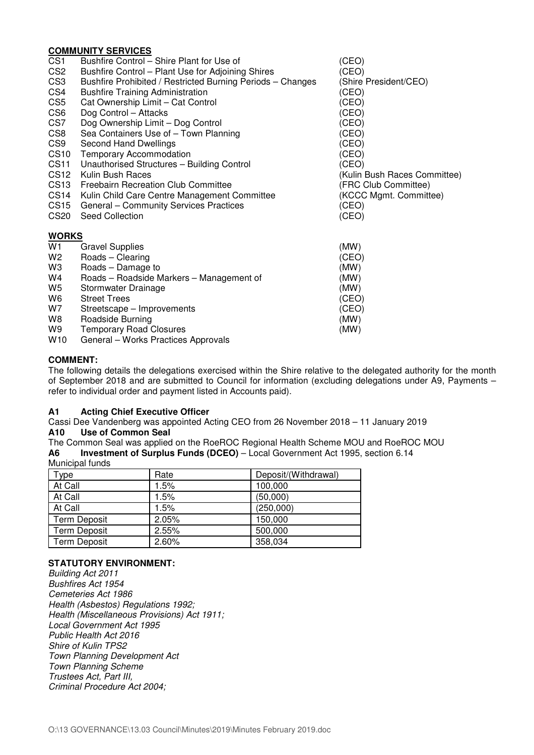## **COMMUNITY SERVICES**

| CS1              | Bushfire Control – Shire Plant for Use of                  | (CEO)                        |
|------------------|------------------------------------------------------------|------------------------------|
| CS <sub>2</sub>  | Bushfire Control - Plant Use for Adjoining Shires          | (CEO)                        |
| CS <sub>3</sub>  | Bushfire Prohibited / Restricted Burning Periods - Changes | (Shire President/CEO)        |
| CS4              | <b>Bushfire Training Administration</b>                    | (CEO)                        |
| CS <sub>5</sub>  | Cat Ownership Limit - Cat Control                          | (CEO)                        |
| CS <sub>6</sub>  | Dog Control - Attacks                                      | (CEO)                        |
| CS7              | Dog Ownership Limit - Dog Control                          | (CEO)                        |
| CS <sub>8</sub>  | Sea Containers Use of - Town Planning                      | (CEO)                        |
| CS9              | Second Hand Dwellings                                      | (CEO)                        |
| CS <sub>10</sub> | <b>Temporary Accommodation</b>                             | (CEO)                        |
| CS <sub>11</sub> | Unauthorised Structures - Building Control                 | (CEO)                        |
| CS <sub>12</sub> | Kulin Bush Races                                           | (Kulin Bush Races Committee) |
| CS <sub>13</sub> | Freebairn Recreation Club Committee                        | (FRC Club Committee)         |
| CS <sub>14</sub> | Kulin Child Care Centre Management Committee               | (KCCC Mgmt. Committee)       |
| CS <sub>15</sub> | General - Community Services Practices                     | (CEO)                        |
| CS <sub>20</sub> | Seed Collection                                            | (CEO)                        |
| <b>WORKS</b>     |                                                            |                              |
| W1               | <b>Gravel Supplies</b>                                     | (MW)                         |
| W <sub>2</sub>   | Roads - Clearing                                           | (CEO)                        |
| W3               | Roads - Damage to                                          | (MW)                         |
| W4               | Roads - Roadside Markers - Management of                   | (MW)                         |
| W <sub>5</sub>   | Stormwater Drainage                                        | (MW)                         |
| W6               | <b>Street Trees</b>                                        | (CEO)                        |
| W7               | Streetscape - Improvements                                 | (CEO)                        |
| W8               | Roadside Burning                                           | (MW)                         |
| W9               | <b>Temporary Road Closures</b>                             | (MW)                         |
| W10              | General - Works Practices Approvals                        |                              |

#### **COMMENT:**

The following details the delegations exercised within the Shire relative to the delegated authority for the month of September 2018 and are submitted to Council for information (excluding delegations under A9, Payments – refer to individual order and payment listed in Accounts paid).

## **A1 Acting Chief Executive Officer**

Cassi Dee Vandenberg was appointed Acting CEO from 26 November 2018 – 11 January 2019 **A10 Use of Common Seal** 

The Common Seal was applied on the RoeROC Regional Health Scheme MOU and RoeROC MOU

**A6 Investment of Surplus Funds (DCEO)** – Local Government Act 1995, section 6.14 Municipal funds

| $^{\mathsf{T}}$ ype | Rate  | Deposit/(Withdrawal) |
|---------------------|-------|----------------------|
| At Call             | 1.5%  | 100,000              |
| At Call             | 1.5%  | (50,000)             |
| At Call             | 1.5%  | (250,000)            |
| <b>Term Deposit</b> | 2.05% | 150,000              |
| <b>Term Deposit</b> | 2.55% | 500,000              |
| <b>Term Deposit</b> | 2.60% | 358,034              |

## **STATUTORY ENVIRONMENT:**

Building Act 2011 Bushfires Act 1954 Cemeteries Act 1986 Health (Asbestos) Regulations 1992; Health (Miscellaneous Provisions) Act 1911; Local Government Act 1995 Public Health Act 2016 Shire of Kulin TPS2 Town Planning Development Act Town Planning Scheme Trustees Act, Part III, Criminal Procedure Act 2004;